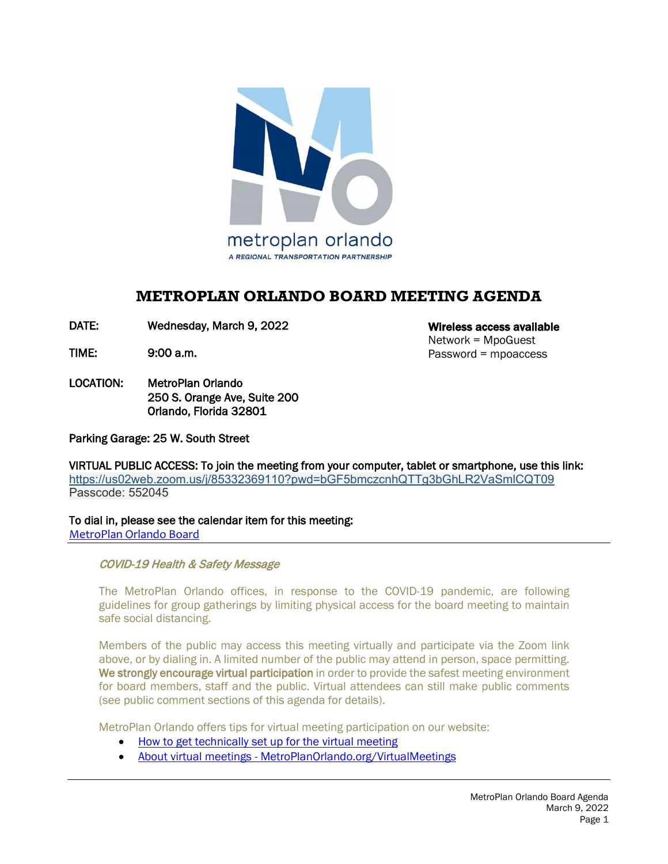

# **METROPLAN ORLANDO BOARD MEETING AGENDA**

DATE: Wednesday, March 9, 2022

TIME: 9:00 a.m.

LOCATION: MetroPlan Orlando 250 S. Orange Ave, Suite 200 Orlando, Florida 32801

Parking Garage: 25 W. South Street

VIRTUAL PUBLIC ACCESS: To join the meeting from your computer, tablet or smartphone, use this link: <https://us02web.zoom.us/j/85332369110?pwd=bGF5bmczcnhQTTg3bGhLR2VaSmlCQT09> Passcode: 552045

To dial in, please see the calendar item for this meeting: [MetroPlan Orlando Board](https://metroplanorlando.org/meetings/metroplan-orlando-board-03-09-22/)

COVID-19 Health & Safety Message

 The MetroPlan Orlando offices, in response to the COVID-19 pandemic, are following guidelines for group gatherings by limiting physical access for the board meeting to maintain safe social distancing.

Members of the public may access this meeting virtually and participate via the Zoom link above, or by dialing in. A limited number of the public may attend in person, space permitting. We strongly encourage virtual participation in order to provide the safest meeting environment for board members, staff and the public. Virtual attendees can still make public comments (see public comment sections of this agenda for details).

MetroPlan Orlando offers tips for virtual meeting participation on our website:

- [How to get technically set up for the virtual meeting](https://metroplanorlando.org/wp-content/uploads/VM_TipsSheet_SetUp_Public-FINAL.pdf)
- About virtual meetings [MetroPlanOrlando.org/VirtualMeetings](https://metroplanorlando.org/virtualmeetings)

Wireless access available Network = MpoGuest Password = mpoaccess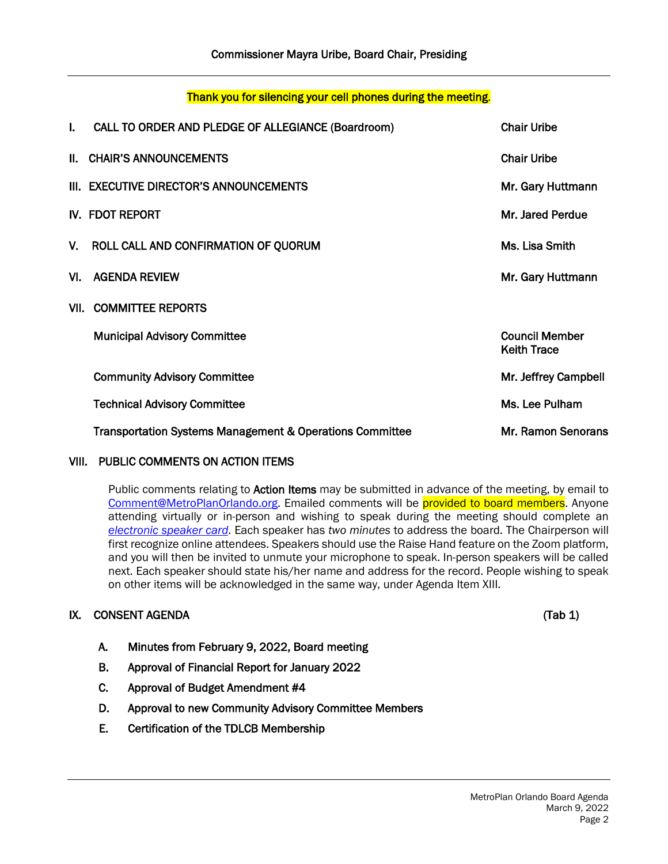## Thank you for silencing your cell phones during the meeting.

| I.  | CALL TO ORDER AND PLEDGE OF ALLEGIANCE (Boardroom)       | <b>Chair Uribe</b>                          |
|-----|----------------------------------------------------------|---------------------------------------------|
|     | II. CHAIR'S ANNOUNCEMENTS                                | <b>Chair Uribe</b>                          |
|     | III. EXECUTIVE DIRECTOR'S ANNOUNCEMENTS                  | Mr. Gary Huttmann                           |
|     | IV. FDOT REPORT                                          | Mr. Jared Perdue                            |
|     | V. ROLL CALL AND CONFIRMATION OF QUORUM                  | Ms. Lisa Smith                              |
| VI. | <b>AGENDA REVIEW</b>                                     | Mr. Gary Huttmann                           |
|     | <b>VII. COMMITTEE REPORTS</b>                            |                                             |
|     | <b>Municipal Advisory Committee</b>                      | <b>Council Member</b><br><b>Keith Trace</b> |
|     | <b>Community Advisory Committee</b>                      | Mr. Jeffrey Campbell                        |
|     | <b>Technical Advisory Committee</b>                      | Ms. Lee Pulham                              |
|     | Transportation Systems Management & Operations Committee | Mr. Ramon Senorans                          |

#### VIII. PUBLIC COMMENTS ON ACTION ITEMS

Public comments relating to Action Items may be submitted in advance of the meeting, by email to [Comment@MetroPlanOrlando.org.](mailto:Comment@MetroPlanOrlando.org) Emailed comments will be provided to board members. Anyone attending virtually or in-person and wishing to speak during the meeting should complete an *[electronic speaker card](https://metroplanorlando.org/board-committees/speaker-card-for-meetings/)*. Each speaker has *two minutes* to address the board. The Chairperson will first recognize online attendees. Speakers should use the Raise Hand feature on the Zoom platform, and you will then be invited to unmute your microphone to speak. In-person speakers will be called next. Each speaker should state his/her name and address for the record. People wishing to speak on other items will be acknowledged in the same way, under Agenda Item XIII.

### IX. CONSENT AGENDA (Tab 1)

- A. Minutes from February 9, 2022, Board meeting
- B. Approval of Financial Report for January 2022
- C. Approval of Budget Amendment #4
- D. Approval to new Community Advisory Committee Members
- E. Certification of the TDLCB Membership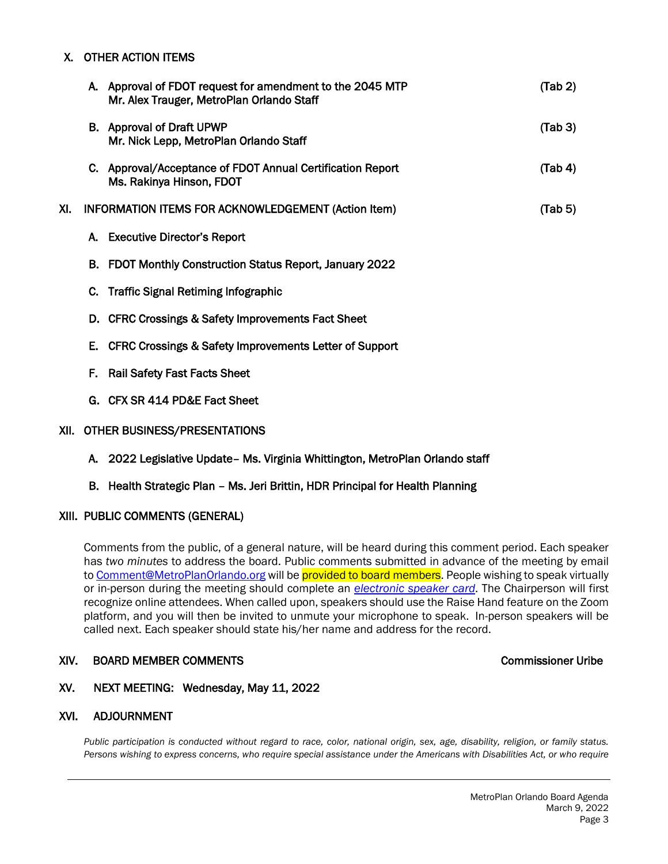#### X. OTHER ACTION ITEMS

|     |    | A. Approval of FDOT request for amendment to the 2045 MTP<br>Mr. Alex Trauger, MetroPlan Orlando Staff | (Tab 2) |
|-----|----|--------------------------------------------------------------------------------------------------------|---------|
|     |    | B. Approval of Draft UPWP<br>Mr. Nick Lepp, MetroPlan Orlando Staff                                    | (Tab 3) |
|     |    | C. Approval/Acceptance of FDOT Annual Certification Report<br>Ms. Rakinya Hinson, FDOT                 | (Tab 4) |
| XI. |    | <b>INFORMATION ITEMS FOR ACKNOWLEDGEMENT (Action Item)</b>                                             | (Tab 5) |
|     |    | A. Executive Director's Report                                                                         |         |
|     |    | B. FDOT Monthly Construction Status Report, January 2022                                               |         |
|     |    | C. Traffic Signal Retiming Infographic                                                                 |         |
|     |    | D. CFRC Crossings & Safety Improvements Fact Sheet                                                     |         |
|     | Е. | CFRC Crossings & Safety Improvements Letter of Support                                                 |         |
|     | F. | <b>Rail Safety Fast Facts Sheet</b>                                                                    |         |
|     |    | G. CFX SR 414 PD&E Fact Sheet                                                                          |         |
|     |    |                                                                                                        |         |

#### XII. OTHER BUSINESS/PRESENTATIONS

A. 2022 Legislative Update– Ms. Virginia Whittington, MetroPlan Orlando staff

#### B. Health Strategic Plan – Ms. Jeri Brittin, HDR Principal for Health Planning

#### XIII. PUBLIC COMMENTS (GENERAL)

Comments from the public, of a general nature, will be heard during this comment period. Each speaker has *two minutes* to address the board. Public comments submitted in advance of the meeting by email t[o Comment@MetroPlanOrlando.org](mailto:Comment@MetroPlanOrlando.org) will be provided to board members. People wishing to speak virtually or in-person during the meeting should complete an *[electronic speaker card](https://metroplanorlando.org/board-committees/speaker-card-for-meetings/)*. The Chairperson will first recognize online attendees. When called upon, speakers should use the Raise Hand feature on the Zoom platform, and you will then be invited to unmute your microphone to speak. In-person speakers will be called next. Each speaker should state his/her name and address for the record.

#### XIV. BOARD MEMBER COMMENTS COMMENTS AND RESERVE THE COMMENTS COMMISSIONER UTIDE

#### XV. NEXT MEETING: Wednesday, May 11, 2022

#### XVI. ADJOURNMENT

*Public participation is conducted without regard to race, color, national origin, sex, age, disability, religion, or family status. Persons wishing to express concerns, who require special assistance under the Americans with Disabilities Act, or who require*